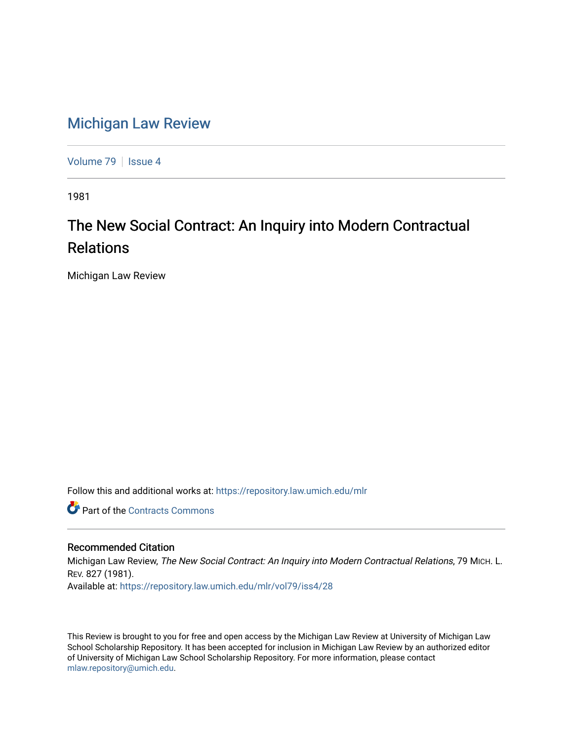## [Michigan Law Review](https://repository.law.umich.edu/mlr)

[Volume 79](https://repository.law.umich.edu/mlr/vol79) | [Issue 4](https://repository.law.umich.edu/mlr/vol79/iss4)

1981

## The New Social Contract: An Inquiry into Modern Contractual Relations

Michigan Law Review

Follow this and additional works at: [https://repository.law.umich.edu/mlr](https://repository.law.umich.edu/mlr?utm_source=repository.law.umich.edu%2Fmlr%2Fvol79%2Fiss4%2F28&utm_medium=PDF&utm_campaign=PDFCoverPages) 

**C** Part of the [Contracts Commons](http://network.bepress.com/hgg/discipline/591?utm_source=repository.law.umich.edu%2Fmlr%2Fvol79%2Fiss4%2F28&utm_medium=PDF&utm_campaign=PDFCoverPages)

## Recommended Citation

Michigan Law Review, The New Social Contract: An Inquiry into Modern Contractual Relations, 79 MICH. L. REV. 827 (1981). Available at: [https://repository.law.umich.edu/mlr/vol79/iss4/28](https://repository.law.umich.edu/mlr/vol79/iss4/28?utm_source=repository.law.umich.edu%2Fmlr%2Fvol79%2Fiss4%2F28&utm_medium=PDF&utm_campaign=PDFCoverPages) 

This Review is brought to you for free and open access by the Michigan Law Review at University of Michigan Law School Scholarship Repository. It has been accepted for inclusion in Michigan Law Review by an authorized editor of University of Michigan Law School Scholarship Repository. For more information, please contact [mlaw.repository@umich.edu.](mailto:mlaw.repository@umich.edu)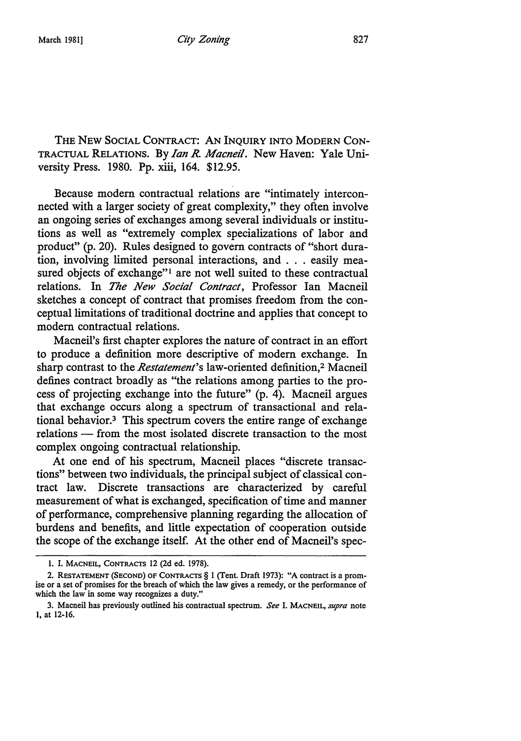THE NEW SOCIAL CONTRACT: AN INQUIRY INTO MODERN CON-TRACTUAL RELATIONS. By *Ian R. Macneil.* New Haven: Yale University Press. 1980. Pp. xiii, 164. \$12.95.

Because modem contractual relations are "intimately interconnected with a larger society of great complexity," they often involve an ongoing series of exchanges among several individuals or institutions as well as "extremely complex specializations of labor and product" (p. 20). Rules designed to govern contracts of "short duration, involving limited personal interactions, and . . . easily measured objects of exchange"<sup>1</sup> are not well suited to these contractual relations. In *The New Social Contract,* Professor Ian Macneil sketches a concept of contract that promises freedom from the conceptual limitations of traditional doctrine and applies that concept to modem contractual relations.

Macneil's first chapter explores the nature of contract in an effort to produce a definition more descriptive of modem exchange. In sharp contrast to the *Restatement's* law-oriented definition,2 Macneil defines contract broadly as "the relations among parties to the process of projecting exchange into the future" (p. 4). Macneil argues that exchange occurs along a spectrum of transactional and relational behavior.3 This spectrum covers the entire range of exchange relations — from the most isolated discrete transaction to the most complex ongoing contractual relationship.

At one end of his spectrum, Macneil places "discrete transactions" between two individuals, the principal subject of classical contract law. Discrete transactions are characterized by careful measurement of what is exchanged, specification of time and manner of performance, comprehensive planning regarding the allocation of burdens and benefits, and little expectation of cooperation outside the scope of the exchange itself. At the other end of Macneil's spec-

I. I. MACNEIL, CONTRACTS 12 (2d ed. 1978).

<sup>2.</sup> RESTATEMENT (SECOND) OF CONTRACTS§ I (Tent. Draft 1973): "A contract is a promise or a set of promises for the breach of which the law gives a remedy, or the performance of which the law in some way recognizes a duty."

<sup>3.</sup> Macneil has previously outlined his contractual spectrum. *See* I. MACNEIL, *supra* note I, at 12-16.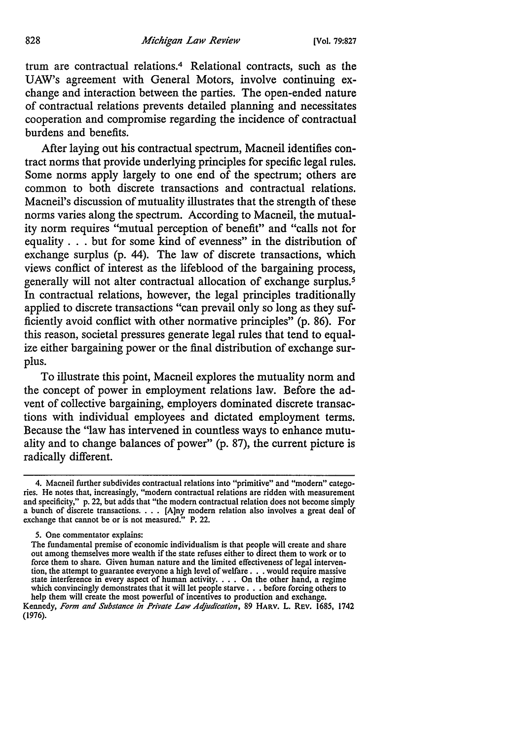trum are contractual relations.4 Relational contracts, such as the UAW's agreement with General Motors, involve continuing exchange and interaction between the parties. The open-ended nature of contractual relations prevents detailed planning and necessitates cooperation and compromise regarding the incidence of contractual burdens and benefits.

After laying out his contractual spectrum, Macneil identifies contract norms that provide underlying principles for specific legal rules. Some norms apply largely to one end of the spectrum; others are common to both discrete transactions and contractual relations. Macneil's discussion of mutuality illustrates that the strength of these norms varies along the spectrum. According to Macneil, the mutuality norm requires "mutual perception of benefit" and "calls not for equality . . . but for some kind of evenness" in the distribution of exchange surplus (p. 44). The law of discrete transactions, which views conflict of interest as the lifeblood of the bargaining process, generally will not alter contractual allocation of exchange surplus.<sup>5</sup> In contractual relations, however, the legal principles traditionally applied to discrete transactions "can prevail only so long as they sufficiently avoid conflict with other normative principles" (p. 86). For this reason, societal pressures generate legal rules that tend to equalize either bargaining power or the final distribution of exchange surplus.

To illustrate this point, Macneil explores the mutuality norm and the concept of power in employment relations law. Before the advent of collective bargaining, employers dominated discrete transactions with individual employees and dictated employment terms. Because the "law has intervened in countless ways to enhance mutuality and to change balances of power" (p. 87), the current picture is radically different.

<sup>4.</sup> Macneil further subdivides contractual relations into "primitive" and "modem" catego• ries. He notes that, increasingly, "modem contractual relations are ridden with measurement and specificity," p. 22, but adds that "the modem contractual relation does not become simply a bunch of discrete transactions. . . . [A]ny modern relation also involves a great deal of exchange that cannot be or is not measured." P. 22.

*<sup>5.</sup>* One commentator explains:

The fundamental premise of economic individualism is that people will create and share out among themselves more wealth if the state refuses either to direct them to work or to force them to share. Given human nature and the limited effectiveness of legal intervenforce them to share. Given human nature and the limited effectiveness of legal intervention, the attempt to guarantee everyone a high level of welfare . . . would require massive state interference in every aspect of human which convincingly demonstrates that it will let people starve . . . before forcing others to help them will create the most powerful of incentives to production and exchange.

Kennedy, *Form and Substance in Private Law Adjudication,* 89 HARV. L. REV. 1685, 1742 (1976).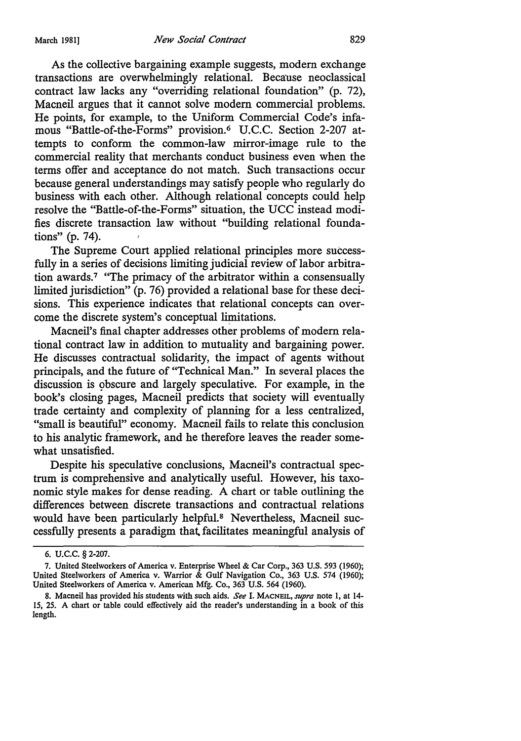As the collective bargaining example suggests, modem exchange transactions are overwhelmingly relational. Because neoclassical contract law lacks any "overriding relational foundation" (p. 72), Macneil argues that it cannot solve modern commercial problems. He points, for example, to the Uniform Commercial Code's infamous "Battle-of-the-Forms" provision.6 U.C.C. Section 2-207 attempts to conform the common-law mirror-image rule to the commercial reality that merchants conduct business even when the terms offer and acceptance do not match. Such transactions occur because general understandings may satisfy people who regularly do business with each other. Although relational concepts could help resolve the "Battle-of-the-Forms" situation, the UCC instead modifies discrete transaction law without "building relational foundations" (p. 74).

The Supreme Court applied relational principles more successfully in a series of decisions limiting judicial review of labor arbitration awards.7 "The primacy of the arbitrator within a consensually limited jurisdiction" (p. 76) provided a relational base for these decisions. This experience indicates that relational concepts can overcome the discrete system's conceptual limitations.

Macneil's final chapter addresses other problems of modern relational contract law in addition to mutuality and bargaining power. He discusses contractual solidarity, the impact of agents without principals, and the future of "Technical Man." In several places the discussion is obscure and largely speculative. For example, in the book's closing pages, Macneil predicts that society will eventually trade certainty and complexity of planning for a less centralized, "small is beautiful" economy. Macneil fails to relate this conclusion to his analytic framework, and he therefore leaves the reader somewhat unsatisfied.

Despite his speculative conclusions, Macneil's contractual spectrum is comprehensive and analytically useful. However, his taxonomic style makes for dense reading. A chart or table outlining the differences between discrete transactions and contractual relations would have been particularly helpful.8 Nevertheless, Macneil successfully presents a paradigm that. facilitates meaningful analysis of

<sup>6.</sup> u.c.c. § 2-207.

<sup>7.</sup> United Steelworkers of America v. Enterprise Wheel & Car Corp., 363 U.S. 593 (1960); United Steelworkers of America v. Warrior & Gulf Navigation Co., 363 U.S. 574 (1960); United Steelworkers of America v. American Mfg. Co., 363 U.S. 564 (1960).

<sup>8.</sup> Macneil has provided his students with such aids. *See* I. MACNEIL, *supra* note 1, at 14- 15, 25. A chart or table could effectively aid the reader's understanding in a book of this length.